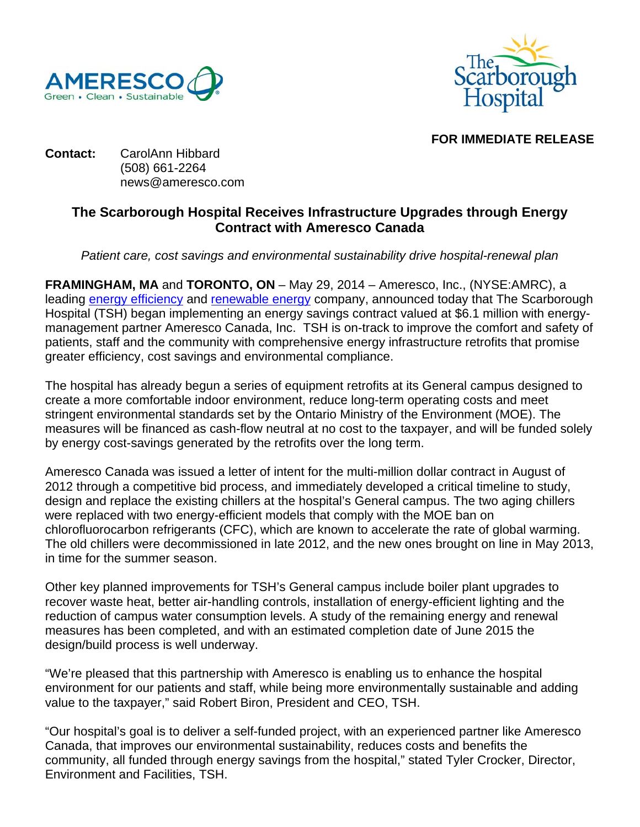



## **FOR IMMEDIATE RELEASE**

### **Contact:** CarolAnn Hibbard (508) 661-2264 news@ameresco.com

# **The Scarborough Hospital Receives Infrastructure Upgrades through Energy Contract with Ameresco Canada**

*Patient care, cost savings and environmental sustainability drive hospital-renewal plan* 

**FRAMINGHAM, MA** and **TORONTO, ON** – May 29, 2014 – Ameresco, Inc., (NYSE:AMRC), a leading energy efficiency and renewable energy company, announced today that The Scarborough Hospital (TSH) began implementing an energy savings contract valued at \$6.1 million with energymanagement partner Ameresco Canada, Inc. TSH is on-track to improve the comfort and safety of patients, staff and the community with comprehensive energy infrastructure retrofits that promise greater efficiency, cost savings and environmental compliance.

The hospital has already begun a series of equipment retrofits at its General campus designed to create a more comfortable indoor environment, reduce long-term operating costs and meet stringent environmental standards set by the Ontario Ministry of the Environment (MOE). The measures will be financed as cash-flow neutral at no cost to the taxpayer, and will be funded solely by energy cost-savings generated by the retrofits over the long term.

Ameresco Canada was issued a letter of intent for the multi-million dollar contract in August of 2012 through a competitive bid process, and immediately developed a critical timeline to study, design and replace the existing chillers at the hospital's General campus. The two aging chillers were replaced with two energy-efficient models that comply with the MOE ban on chlorofluorocarbon refrigerants (CFC), which are known to accelerate the rate of global warming. The old chillers were decommissioned in late 2012, and the new ones brought on line in May 2013, in time for the summer season.

Other key planned improvements for TSH's General campus include boiler plant upgrades to recover waste heat, better air-handling controls, installation of energy-efficient lighting and the reduction of campus water consumption levels. A study of the remaining energy and renewal measures has been completed, and with an estimated completion date of June 2015 the design/build process is well underway.

"We're pleased that this partnership with Ameresco is enabling us to enhance the hospital environment for our patients and staff, while being more environmentally sustainable and adding value to the taxpayer," said Robert Biron, President and CEO, TSH.

"Our hospital's goal is to deliver a self-funded project, with an experienced partner like Ameresco Canada, that improves our environmental sustainability, reduces costs and benefits the community, all funded through energy savings from the hospital," stated Tyler Crocker, Director, Environment and Facilities, TSH.